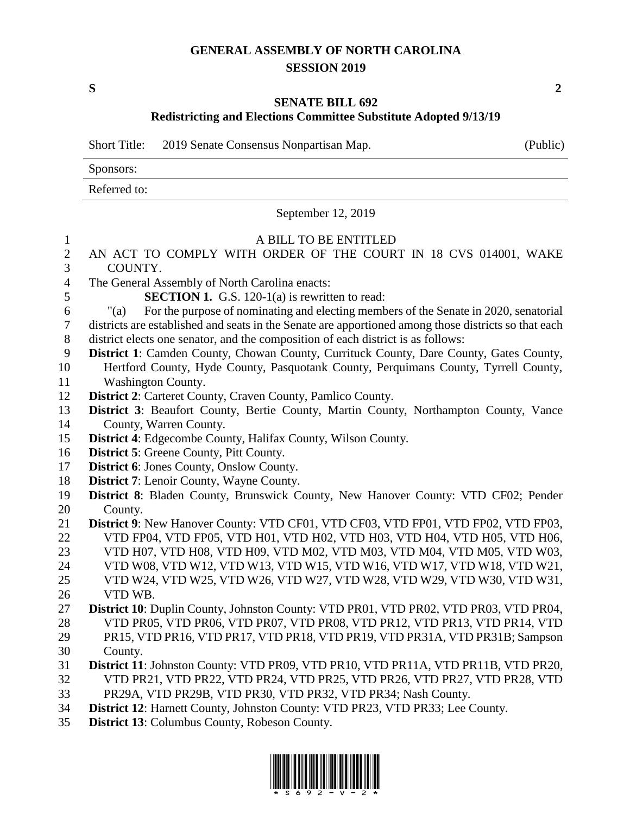## **GENERAL ASSEMBLY OF NORTH CAROLINA SESSION 2019**

**S 2**

#### **SENATE BILL 692**

# **Redistricting and Elections Committee Substitute Adopted 9/13/19**

Short Title: 2019 Senate Consensus Nonpartisan Map. (Public)

Sponsors:

Referred to:

September 12, 2019

| $\mathbf{1}$     | A BILL TO BE ENTITLED                                                                                |
|------------------|------------------------------------------------------------------------------------------------------|
| $\sqrt{2}$       | AN ACT TO COMPLY WITH ORDER OF THE COURT IN 18 CVS 014001, WAKE                                      |
| 3                | COUNTY.                                                                                              |
| $\overline{4}$   | The General Assembly of North Carolina enacts:                                                       |
| 5                | <b>SECTION 1.</b> G.S. 120-1(a) is rewritten to read:                                                |
| $\sqrt{6}$       | For the purpose of nominating and electing members of the Senate in 2020, senatorial<br>" $(a)$      |
| $\boldsymbol{7}$ | districts are established and seats in the Senate are apportioned among those districts so that each |
| 8                | district elects one senator, and the composition of each district is as follows:                     |
| 9                | District 1: Camden County, Chowan County, Currituck County, Dare County, Gates County,               |
| 10               | Hertford County, Hyde County, Pasquotank County, Perquimans County, Tyrrell County,                  |
| 11               | <b>Washington County.</b>                                                                            |
| 12               | District 2: Carteret County, Craven County, Pamlico County.                                          |
| 13               | District 3: Beaufort County, Bertie County, Martin County, Northampton County, Vance                 |
| 14               | County, Warren County.                                                                               |
| 15               | <b>District 4:</b> Edgecombe County, Halifax County, Wilson County.                                  |
| 16               | <b>District 5: Greene County, Pitt County.</b>                                                       |
| 17               | <b>District 6:</b> Jones County, Onslow County.                                                      |
| 18               | <b>District 7:</b> Lenoir County, Wayne County.                                                      |
| 19               | District 8: Bladen County, Brunswick County, New Hanover County: VTD CF02; Pender                    |
| 20               | County.                                                                                              |
| 21               | District 9: New Hanover County: VTD CF01, VTD CF03, VTD FP01, VTD FP02, VTD FP03,                    |
| 22               | VTD FP04, VTD FP05, VTD H01, VTD H02, VTD H03, VTD H04, VTD H05, VTD H06,                            |
| 23               | VTD H07, VTD H08, VTD H09, VTD M02, VTD M03, VTD M04, VTD M05, VTD W03,                              |
| 24               | VTD W08, VTD W12, VTD W13, VTD W15, VTD W16, VTD W17, VTD W18, VTD W21,                              |
| 25               | VTD W24, VTD W25, VTD W26, VTD W27, VTD W28, VTD W29, VTD W30, VTD W31,                              |
| 26               | VTD WB.                                                                                              |
| 27               | District 10: Duplin County, Johnston County: VTD PR01, VTD PR02, VTD PR03, VTD PR04,                 |
| 28               | VTD PR05, VTD PR06, VTD PR07, VTD PR08, VTD PR12, VTD PR13, VTD PR14, VTD                            |
| 29               | PR15, VTD PR16, VTD PR17, VTD PR18, VTD PR19, VTD PR31A, VTD PR31B; Sampson                          |
| 30               | County.                                                                                              |
| 31               | District 11: Johnston County: VTD PR09, VTD PR10, VTD PR11A, VTD PR11B, VTD PR20,                    |
| 32               | VTD PR21, VTD PR22, VTD PR24, VTD PR25, VTD PR26, VTD PR27, VTD PR28, VTD                            |
| 33               | PR29A, VTD PR29B, VTD PR30, VTD PR32, VTD PR34; Nash County.                                         |
| 34               | District 12: Harnett County, Johnston County: VTD PR23, VTD PR33; Lee County.                        |
| 35               | <b>District 13:</b> Columbus County, Robeson County.                                                 |

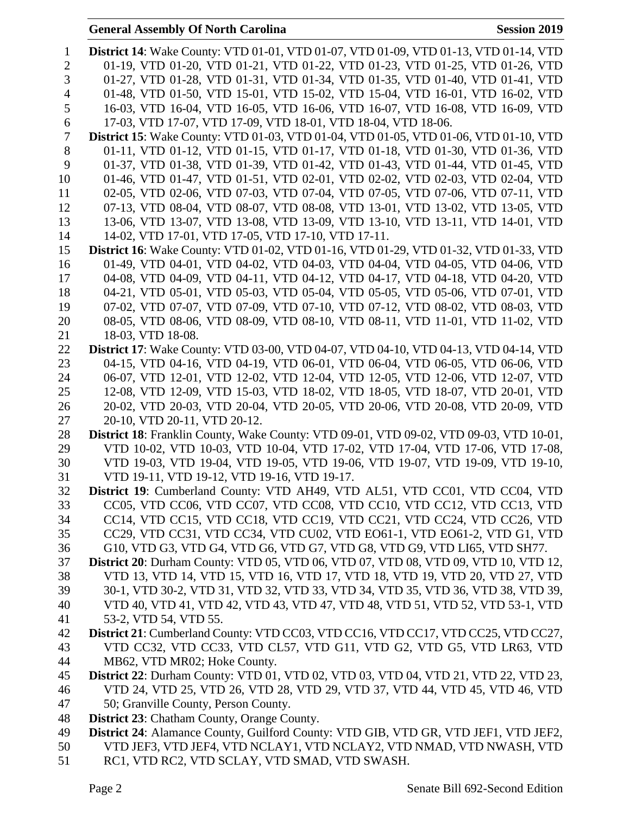# **General Assembly Of North Carolina Session 2019**

| 1              | <b>District 14:</b> Wake County: VTD 01-01, VTD 01-07, VTD 01-09, VTD 01-13, VTD 01-14, VTD                            |
|----------------|------------------------------------------------------------------------------------------------------------------------|
| $\overline{2}$ | 01-19, VTD 01-20, VTD 01-21, VTD 01-22, VTD 01-23, VTD 01-25, VTD 01-26, VTD                                           |
| 3              | 01-27, VTD 01-28, VTD 01-31, VTD 01-34, VTD 01-35, VTD 01-40, VTD 01-41, VTD                                           |
| 4              | 01-48, VTD 01-50, VTD 15-01, VTD 15-02, VTD 15-04, VTD 16-01, VTD 16-02, VTD                                           |
| 5              | 16-03, VTD 16-04, VTD 16-05, VTD 16-06, VTD 16-07, VTD 16-08, VTD 16-09, VTD                                           |
| 6              | 17-03, VTD 17-07, VTD 17-09, VTD 18-01, VTD 18-04, VTD 18-06.                                                          |
| $\overline{7}$ | District 15: Wake County: VTD 01-03, VTD 01-04, VTD 01-05, VTD 01-06, VTD 01-10, VTD                                   |
| 8              | 01-11, VTD 01-12, VTD 01-15, VTD 01-17, VTD 01-18, VTD 01-30, VTD 01-36, VTD                                           |
| 9              | 01-37, VTD 01-38, VTD 01-39, VTD 01-42, VTD 01-43, VTD 01-44, VTD 01-45, VTD                                           |
| 10             | 01-46, VTD 01-47, VTD 01-51, VTD 02-01, VTD 02-02, VTD 02-03, VTD 02-04, VTD                                           |
| 11             | 02-05, VTD 02-06, VTD 07-03, VTD 07-04, VTD 07-05, VTD 07-06, VTD 07-11, VTD                                           |
| 12             | 07-13, VTD 08-04, VTD 08-07, VTD 08-08, VTD 13-01, VTD 13-02, VTD 13-05, VTD                                           |
| 13             | 13-06, VTD 13-07, VTD 13-08, VTD 13-09, VTD 13-10, VTD 13-11, VTD 14-01, VTD                                           |
| 14             | 14-02, VTD 17-01, VTD 17-05, VTD 17-10, VTD 17-11.                                                                     |
| 15             | <b>District 16:</b> Wake County: VTD 01-02, VTD 01-16, VTD 01-29, VTD 01-32, VTD 01-33, VTD                            |
| 16             | 01-49, VTD 04-01, VTD 04-02, VTD 04-03, VTD 04-04, VTD 04-05, VTD 04-06, VTD                                           |
| 17             | 04-08, VTD 04-09, VTD 04-11, VTD 04-12, VTD 04-17, VTD 04-18, VTD 04-20, VTD                                           |
| 18             | 04-21, VTD 05-01, VTD 05-03, VTD 05-04, VTD 05-05, VTD 05-06, VTD 07-01, VTD                                           |
| 19             | 07-02, VTD 07-07, VTD 07-09, VTD 07-10, VTD 07-12, VTD 08-02, VTD 08-03, VTD                                           |
| 20             | 08-05, VTD 08-06, VTD 08-09, VTD 08-10, VTD 08-11, VTD 11-01, VTD 11-02, VTD                                           |
| 21             | 18-03, VTD 18-08.                                                                                                      |
| 22             | <b>District 17:</b> Wake County: VTD 03-00, VTD 04-07, VTD 04-10, VTD 04-13, VTD 04-14, VTD                            |
| 23             | 04-15, VTD 04-16, VTD 04-19, VTD 06-01, VTD 06-04, VTD 06-05, VTD 06-06, VTD                                           |
| 24             | 06-07, VTD 12-01, VTD 12-02, VTD 12-04, VTD 12-05, VTD 12-06, VTD 12-07, VTD                                           |
| 25             | 12-08, VTD 12-09, VTD 15-03, VTD 18-02, VTD 18-05, VTD 18-07, VTD 20-01, VTD                                           |
| 26             | 20-02, VTD 20-03, VTD 20-04, VTD 20-05, VTD 20-06, VTD 20-08, VTD 20-09, VTD                                           |
| 27<br>28       | 20-10, VTD 20-11, VTD 20-12.<br>District 18: Franklin County, Wake County: VTD 09-01, VTD 09-02, VTD 09-03, VTD 10-01, |
| 29             | VTD 10-02, VTD 10-03, VTD 10-04, VTD 17-02, VTD 17-04, VTD 17-06, VTD 17-08,                                           |
| 30             | VTD 19-03, VTD 19-04, VTD 19-05, VTD 19-06, VTD 19-07, VTD 19-09, VTD 19-10,                                           |
| 31             | VTD 19-11, VTD 19-12, VTD 19-16, VTD 19-17.                                                                            |
| 32             | District 19: Cumberland County: VTD AH49, VTD AL51, VTD CC01, VTD CC04, VTD                                            |
| 33             | CC05, VTD CC06, VTD CC07, VTD CC08, VTD CC10, VTD CC12, VTD CC13, VTD                                                  |
| 34             | CC14, VTD CC15, VTD CC18, VTD CC19, VTD CC21, VTD CC24, VTD CC26, VTD                                                  |
| 35             | CC29, VTD CC31, VTD CC34, VTD CU02, VTD EO61-1, VTD EO61-2, VTD G1, VTD                                                |
| 36             | G10, VTD G3, VTD G4, VTD G6, VTD G7, VTD G8, VTD G9, VTD LI65, VTD SH77.                                               |
| 37             | <b>District 20:</b> Durham County: VTD 05, VTD 06, VTD 07, VTD 08, VTD 09, VTD 10, VTD 12,                             |
| 38             | VTD 13, VTD 14, VTD 15, VTD 16, VTD 17, VTD 18, VTD 19, VTD 20, VTD 27, VTD                                            |
| 39             | 30-1, VTD 30-2, VTD 31, VTD 32, VTD 33, VTD 34, VTD 35, VTD 36, VTD 38, VTD 39,                                        |
| 40             | VTD 40, VTD 41, VTD 42, VTD 43, VTD 47, VTD 48, VTD 51, VTD 52, VTD 53-1, VTD                                          |
| 41             | 53-2, VTD 54, VTD 55.                                                                                                  |
| 42             | District 21: Cumberland County: VTD CC03, VTD CC16, VTD CC17, VTD CC25, VTD CC27,                                      |
| 43             | VTD CC32, VTD CC33, VTD CL57, VTD G11, VTD G2, VTD G5, VTD LR63, VTD                                                   |
| 44             | MB62, VTD MR02; Hoke County.                                                                                           |
| 45             | District 22: Durham County: VTD 01, VTD 02, VTD 03, VTD 04, VTD 21, VTD 22, VTD 23,                                    |
| 46             | VTD 24, VTD 25, VTD 26, VTD 28, VTD 29, VTD 37, VTD 44, VTD 45, VTD 46, VTD                                            |
| 47             | 50; Granville County, Person County.                                                                                   |
| 48             | <b>District 23:</b> Chatham County, Orange County.                                                                     |
| 49             | District 24: Alamance County, Guilford County: VTD GIB, VTD GR, VTD JEF1, VTD JEF2,                                    |
| 50             | VTD JEF3, VTD JEF4, VTD NCLAY1, VTD NCLAY2, VTD NMAD, VTD NWASH, VTD                                                   |
| 51             | RC1, VTD RC2, VTD SCLAY, VTD SMAD, VTD SWASH.                                                                          |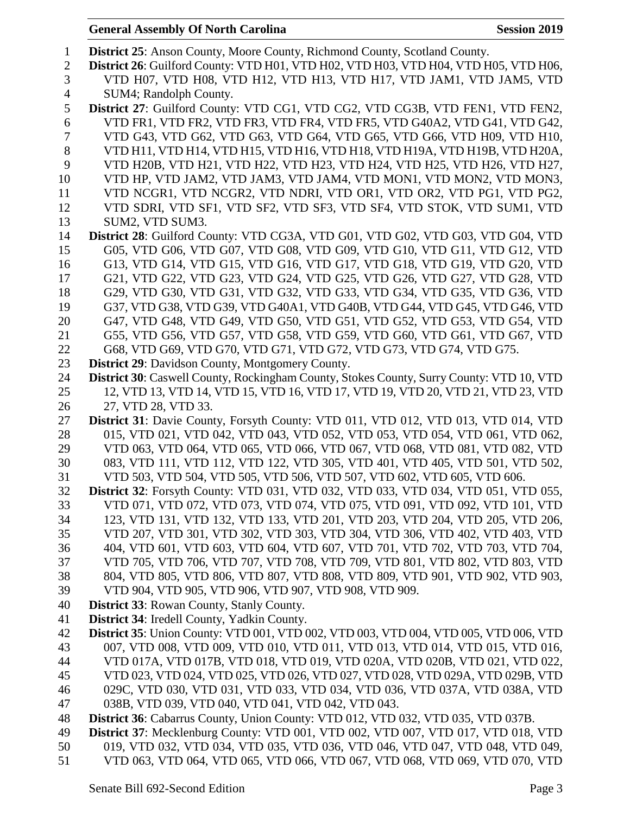| $\mathbf{1}$   | District 25: Anson County, Moore County, Richmond County, Scotland County.                  |
|----------------|---------------------------------------------------------------------------------------------|
| $\overline{2}$ | District 26: Guilford County: VTD H01, VTD H02, VTD H03, VTD H04, VTD H05, VTD H06,         |
| 3              | VTD H07, VTD H08, VTD H12, VTD H13, VTD H17, VTD JAM1, VTD JAM5, VTD                        |
| $\overline{4}$ | SUM4; Randolph County.                                                                      |
| 5              | District 27: Guilford County: VTD CG1, VTD CG2, VTD CG3B, VTD FEN1, VTD FEN2,               |
| 6              | VTD FR1, VTD FR2, VTD FR3, VTD FR4, VTD FR5, VTD G40A2, VTD G41, VTD G42,                   |
| 7              | VTD G43, VTD G62, VTD G63, VTD G64, VTD G65, VTD G66, VTD H09, VTD H10,                     |
| $8\,$          | VTD H11, VTD H14, VTD H15, VTD H16, VTD H18, VTD H19A, VTD H19B, VTD H20A,                  |
| 9              | VTD H20B, VTD H21, VTD H22, VTD H23, VTD H24, VTD H25, VTD H26, VTD H27,                    |
| 10             | VTD HP, VTD JAM2, VTD JAM3, VTD JAM4, VTD MON1, VTD MON2, VTD MON3,                         |
| 11             | VTD NCGR1, VTD NCGR2, VTD NDRI, VTD OR1, VTD OR2, VTD PG1, VTD PG2,                         |
| 12             | VTD SDRI, VTD SF1, VTD SF2, VTD SF3, VTD SF4, VTD STOK, VTD SUM1, VTD                       |
| 13             | SUM2, VTD SUM3.                                                                             |
| 14             | District 28: Guilford County: VTD CG3A, VTD G01, VTD G02, VTD G03, VTD G04, VTD             |
| 15             | G05, VTD G06, VTD G07, VTD G08, VTD G09, VTD G10, VTD G11, VTD G12, VTD                     |
| 16             | G13, VTD G14, VTD G15, VTD G16, VTD G17, VTD G18, VTD G19, VTD G20, VTD                     |
| 17             | G21, VTD G22, VTD G23, VTD G24, VTD G25, VTD G26, VTD G27, VTD G28, VTD                     |
| 18             | G29, VTD G30, VTD G31, VTD G32, VTD G33, VTD G34, VTD G35, VTD G36, VTD                     |
| 19             | G37, VTD G38, VTD G39, VTD G40A1, VTD G40B, VTD G44, VTD G45, VTD G46, VTD                  |
| 20             | G47, VTD G48, VTD G49, VTD G50, VTD G51, VTD G52, VTD G53, VTD G54, VTD                     |
| 21             | G55, VTD G56, VTD G57, VTD G58, VTD G59, VTD G60, VTD G61, VTD G67, VTD                     |
| 22             | G68, VTD G69, VTD G70, VTD G71, VTD G72, VTD G73, VTD G74, VTD G75.                         |
| 23             | <b>District 29:</b> Davidson County, Montgomery County.                                     |
| 24             | District 30: Caswell County, Rockingham County, Stokes County, Surry County: VTD 10, VTD    |
| 25             | 12, VTD 13, VTD 14, VTD 15, VTD 16, VTD 17, VTD 19, VTD 20, VTD 21, VTD 23, VTD             |
| 26             | 27, VTD 28, VTD 33.                                                                         |
| 27             | District 31: Davie County, Forsyth County: VTD 011, VTD 012, VTD 013, VTD 014, VTD          |
| 28             | 015, VTD 021, VTD 042, VTD 043, VTD 052, VTD 053, VTD 054, VTD 061, VTD 062,                |
| 29             | VTD 063, VTD 064, VTD 065, VTD 066, VTD 067, VTD 068, VTD 081, VTD 082, VTD                 |
| 30             | 083, VTD 111, VTD 112, VTD 122, VTD 305, VTD 401, VTD 405, VTD 501, VTD 502,                |
| 31             | VTD 503, VTD 504, VTD 505, VTD 506, VTD 507, VTD 602, VTD 605, VTD 606.                     |
| 32             | <b>District 32</b> : Forsyth County: VTD 031, VTD 032, VTD 033, VTD 034, VTD 051, VTD 055,  |
| 33             | VTD 071, VTD 072, VTD 073, VTD 074, VTD 075, VTD 091, VTD 092, VTD 101, VTD                 |
| 34             | 123, VTD 131, VTD 132, VTD 133, VTD 201, VTD 203, VTD 204, VTD 205, VTD 206,                |
| 35             | VTD 207, VTD 301, VTD 302, VTD 303, VTD 304, VTD 306, VTD 402, VTD 403, VTD                 |
| 36             | 404, VTD 601, VTD 603, VTD 604, VTD 607, VTD 701, VTD 702, VTD 703, VTD 704,                |
| 37             | VTD 705, VTD 706, VTD 707, VTD 708, VTD 709, VTD 801, VTD 802, VTD 803, VTD                 |
| 38             | 804, VTD 805, VTD 806, VTD 807, VTD 808, VTD 809, VTD 901, VTD 902, VTD 903,                |
| 39             | VTD 904, VTD 905, VTD 906, VTD 907, VTD 908, VTD 909.                                       |
| 40             | <b>District 33: Rowan County, Stanly County.</b>                                            |
| 41             | District 34: Iredell County, Yadkin County.                                                 |
| 42             | <b>District 35:</b> Union County: VTD 001, VTD 002, VTD 003, VTD 004, VTD 005, VTD 006, VTD |
| 43             | 007, VTD 008, VTD 009, VTD 010, VTD 011, VTD 013, VTD 014, VTD 015, VTD 016,                |
| 44             | VTD 017A, VTD 017B, VTD 018, VTD 019, VTD 020A, VTD 020B, VTD 021, VTD 022,                 |
| 45             | VTD 023, VTD 024, VTD 025, VTD 026, VTD 027, VTD 028, VTD 029A, VTD 029B, VTD               |
| 46             | 029C, VTD 030, VTD 031, VTD 033, VTD 034, VTD 036, VTD 037A, VTD 038A, VTD                  |
| 47             | 038B, VTD 039, VTD 040, VTD 041, VTD 042, VTD 043.                                          |
| 48             | District 36: Cabarrus County, Union County: VTD 012, VTD 032, VTD 035, VTD 037B.            |
| 49             | District 37: Mecklenburg County: VTD 001, VTD 002, VTD 007, VTD 017, VTD 018, VTD           |
| 50             | 019, VTD 032, VTD 034, VTD 035, VTD 036, VTD 046, VTD 047, VTD 048, VTD 049,                |
| 51             | VTD 063, VTD 064, VTD 065, VTD 066, VTD 067, VTD 068, VTD 069, VTD 070, VTD                 |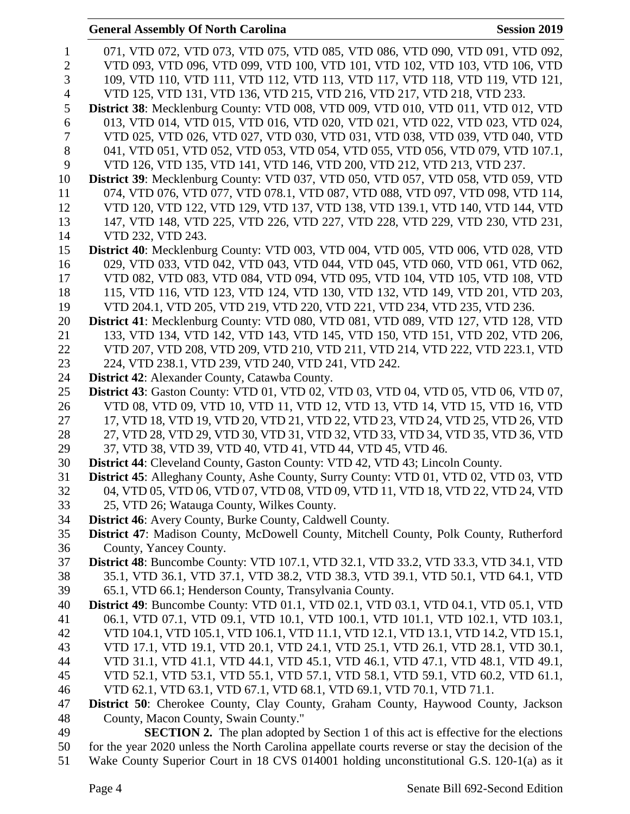| $\mathbf{1}$   | 071, VTD 072, VTD 073, VTD 075, VTD 085, VTD 086, VTD 090, VTD 091, VTD 092,                                                                                      |
|----------------|-------------------------------------------------------------------------------------------------------------------------------------------------------------------|
| $\overline{2}$ | VTD 093, VTD 096, VTD 099, VTD 100, VTD 101, VTD 102, VTD 103, VTD 106, VTD                                                                                       |
| 3              | 109, VTD 110, VTD 111, VTD 112, VTD 113, VTD 117, VTD 118, VTD 119, VTD 121,                                                                                      |
| $\overline{4}$ | VTD 125, VTD 131, VTD 136, VTD 215, VTD 216, VTD 217, VTD 218, VTD 233.                                                                                           |
| 5              | <b>District 38:</b> Mecklenburg County: VTD 008, VTD 009, VTD 010, VTD 011, VTD 012, VTD                                                                          |
| 6              | 013, VTD 014, VTD 015, VTD 016, VTD 020, VTD 021, VTD 022, VTD 023, VTD 024,                                                                                      |
| 7              | VTD 025, VTD 026, VTD 027, VTD 030, VTD 031, VTD 038, VTD 039, VTD 040, VTD                                                                                       |
| 8              | 041, VTD 051, VTD 052, VTD 053, VTD 054, VTD 055, VTD 056, VTD 079, VTD 107.1,                                                                                    |
| 9              | VTD 126, VTD 135, VTD 141, VTD 146, VTD 200, VTD 212, VTD 213, VTD 237.                                                                                           |
| 10             | District 39: Mecklenburg County: VTD 037, VTD 050, VTD 057, VTD 058, VTD 059, VTD                                                                                 |
| 11             | 074, VTD 076, VTD 077, VTD 078.1, VTD 087, VTD 088, VTD 097, VTD 098, VTD 114,                                                                                    |
| 12             | VTD 120, VTD 122, VTD 129, VTD 137, VTD 138, VTD 139.1, VTD 140, VTD 144, VTD                                                                                     |
| 13             | 147, VTD 148, VTD 225, VTD 226, VTD 227, VTD 228, VTD 229, VTD 230, VTD 231,                                                                                      |
| 14             | VTD 232, VTD 243.                                                                                                                                                 |
| 15             | District 40: Mecklenburg County: VTD 003, VTD 004, VTD 005, VTD 006, VTD 028, VTD                                                                                 |
| 16             | 029, VTD 033, VTD 042, VTD 043, VTD 044, VTD 045, VTD 060, VTD 061, VTD 062,                                                                                      |
| 17             | VTD 082, VTD 083, VTD 084, VTD 094, VTD 095, VTD 104, VTD 105, VTD 108, VTD                                                                                       |
| 18             | 115, VTD 116, VTD 123, VTD 124, VTD 130, VTD 132, VTD 149, VTD 201, VTD 203,                                                                                      |
| 19             | VTD 204.1, VTD 205, VTD 219, VTD 220, VTD 221, VTD 234, VTD 235, VTD 236.                                                                                         |
| 20<br>21       | District 41: Mecklenburg County: VTD 080, VTD 081, VTD 089, VTD 127, VTD 128, VTD<br>133, VTD 134, VTD 142, VTD 143, VTD 145, VTD 150, VTD 151, VTD 202, VTD 206, |
| 22             | VTD 207, VTD 208, VTD 209, VTD 210, VTD 211, VTD 214, VTD 222, VTD 223.1, VTD                                                                                     |
| 23             | 224, VTD 238.1, VTD 239, VTD 240, VTD 241, VTD 242.                                                                                                               |
| 24             | <b>District 42:</b> Alexander County, Catawba County.                                                                                                             |
| 25             | District 43: Gaston County: VTD 01, VTD 02, VTD 03, VTD 04, VTD 05, VTD 06, VTD 07,                                                                               |
| 26             | VTD 08, VTD 09, VTD 10, VTD 11, VTD 12, VTD 13, VTD 14, VTD 15, VTD 16, VTD                                                                                       |
| 27             | 17, VTD 18, VTD 19, VTD 20, VTD 21, VTD 22, VTD 23, VTD 24, VTD 25, VTD 26, VTD                                                                                   |
| 28             | 27, VTD 28, VTD 29, VTD 30, VTD 31, VTD 32, VTD 33, VTD 34, VTD 35, VTD 36, VTD                                                                                   |
| 29             | 37, VTD 38, VTD 39, VTD 40, VTD 41, VTD 44, VTD 45, VTD 46.                                                                                                       |
| 30             | District 44: Cleveland County, Gaston County: VTD 42, VTD 43; Lincoln County.                                                                                     |
| 31             | District 45: Alleghany County, Ashe County, Surry County: VTD 01, VTD 02, VTD 03, VTD                                                                             |
| 32             | 04, VTD 05, VTD 06, VTD 07, VTD 08, VTD 09, VTD 11, VTD 18, VTD 22, VTD 24, VTD                                                                                   |
| 33             | 25, VTD 26; Watauga County, Wilkes County.                                                                                                                        |
| 34             | <b>District 46:</b> Avery County, Burke County, Caldwell County.                                                                                                  |
| 35             | District 47: Madison County, McDowell County, Mitchell County, Polk County, Rutherford                                                                            |
| 36             | County, Yancey County.                                                                                                                                            |
| 37             | <b>District 48:</b> Buncombe County: VTD 107.1, VTD 32.1, VTD 33.2, VTD 33.3, VTD 34.1, VTD                                                                       |
| 38             | 35.1, VTD 36.1, VTD 37.1, VTD 38.2, VTD 38.3, VTD 39.1, VTD 50.1, VTD 64.1, VTD                                                                                   |
| 39             | 65.1, VTD 66.1; Henderson County, Transylvania County.                                                                                                            |
| 40             | <b>District 49:</b> Buncombe County: VTD 01.1, VTD 02.1, VTD 03.1, VTD 04.1, VTD 05.1, VTD                                                                        |
| 41             | 06.1, VTD 07.1, VTD 09.1, VTD 10.1, VTD 100.1, VTD 101.1, VTD 102.1, VTD 103.1,                                                                                   |
| 42             | VTD 104.1, VTD 105.1, VTD 106.1, VTD 11.1, VTD 12.1, VTD 13.1, VTD 14.2, VTD 15.1,                                                                                |
| 43             | VTD 17.1, VTD 19.1, VTD 20.1, VTD 24.1, VTD 25.1, VTD 26.1, VTD 28.1, VTD 30.1,                                                                                   |
| 44             | VTD 31.1, VTD 41.1, VTD 44.1, VTD 45.1, VTD 46.1, VTD 47.1, VTD 48.1, VTD 49.1,                                                                                   |
| 45             | VTD 52.1, VTD 53.1, VTD 55.1, VTD 57.1, VTD 58.1, VTD 59.1, VTD 60.2, VTD 61.1,                                                                                   |
| 46             | VTD 62.1, VTD 63.1, VTD 67.1, VTD 68.1, VTD 69.1, VTD 70.1, VTD 71.1.                                                                                             |
| 47             | District 50: Cherokee County, Clay County, Graham County, Haywood County, Jackson                                                                                 |
| 48             | County, Macon County, Swain County."                                                                                                                              |
| 49             | <b>SECTION 2.</b> The plan adopted by Section 1 of this act is effective for the elections                                                                        |
| 50             | for the year 2020 unless the North Carolina appellate courts reverse or stay the decision of the                                                                  |
| 51             | Wake County Superior Court in 18 CVS 014001 holding unconstitutional G.S. 120-1(a) as it                                                                          |

**General Assembly Of North Carolina Session 2019**